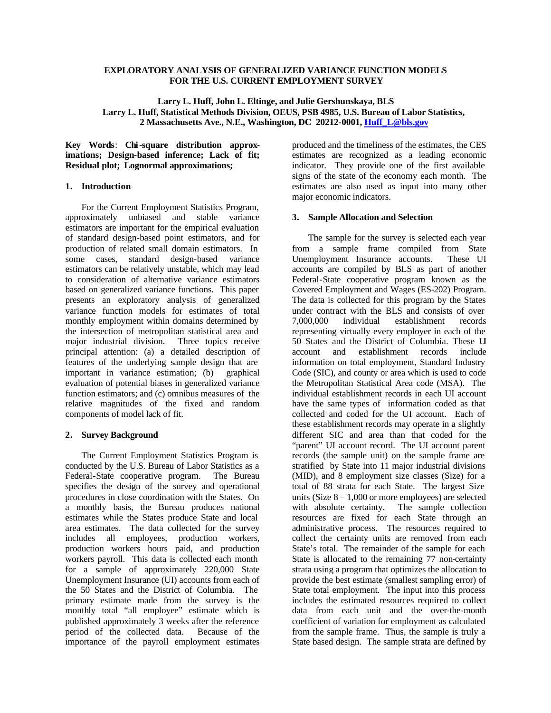## **EXPLORATORY ANALYSIS OF GENERALIZED VARIANCE FUNCTION MODELS FOR THE U.S. CURRENT EMPLOYMENT SURVEY**

# **Larry L. Huff, John L. Eltinge, and Julie Gershunskaya, BLS Larry L. Huff, Statistical Methods Division, OEUS, PSB 4985, U.S. Bureau of Labor Statistics, 2 Massachusetts Ave., N.E., Washington, DC 20212-0001, Huff\_L@bls.gov**

**Key Words**: **Chi-square distribution approximations; Design-based inference; Lack of fit; Residual plot; Lognormal approximations;** 

### **1. Introduction**

For the Current Employment Statistics Program, approximately unbiased and stable variance estimators are important for the empirical evaluation of standard design-based point estimators, and for production of related small domain estimators. In some cases, standard design-based variance estimators can be relatively unstable, which may lead to consideration of alternative variance estimators based on generalized variance functions. This paper presents an exploratory analysis of generalized variance function models for estimates of total monthly employment within domains determined by the intersection of metropolitan statistical area and major industrial division. Three topics receive principal attention: (a) a detailed description of features of the underlying sample design that are important in variance estimation; (b) graphical evaluation of potential biases in generalized variance function estimators; and (c) omnibus measures of the relative magnitudes of the fixed and random components of model lack of fit.

### **2. Survey Background**

The Current Employment Statistics Program is conducted by the U.S. Bureau of Labor Statistics as a Federal-State cooperative program. The Bureau specifies the design of the survey and operational procedures in close coordination with the States. On a monthly basis, the Bureau produces national estimates while the States produce State and local area estimates. The data collected for the survey includes all employees, production workers, production workers hours paid, and production workers payroll. This data is collected each month for a sample of approximately 220,000 State Unemployment Insurance (UI) accounts from each of the 50 States and the District of Columbia. The primary estimate made from the survey is the monthly total "all employee" estimate which is published approximately 3 weeks after the reference period of the collected data. Because of the importance of the payroll employment estimates

produced and the timeliness of the estimates, the CES estimates are recognized as a leading economic indicator. They provide one of the first available signs of the state of the economy each month. The estimates are also used as input into many other major economic indicators.

## **3. Sample Allocation and Selection**

The sample for the survey is selected each year from a sample frame compiled from State Unemployment Insurance accounts. These UI accounts are compiled by BLS as part of another Federal-State cooperative program known as the Covered Employment and Wages (ES-202) Program. The data is collected for this program by the States under contract with the BLS and consists of over 7,000,000 individual establishment records representing virtually every employer in each of the 50 States and the District of Columbia. These UI account and establishment records include information on total employment, Standard Industry Code (SIC), and county or area which is used to code the Metropolitan Statistical Area code (MSA). The individual establishment records in each UI account have the same types of information coded as that collected and coded for the UI account. Each of these establishment records may operate in a slightly different SIC and area than that coded for the "parent" UI account record. The UI account parent records (the sample unit) on the sample frame are stratified by State into 11 major industrial divisions (MID), and 8 employment size classes (Size) for a total of 88 strata for each State. The largest Size units (Size  $8 - 1,000$  or more employees) are selected with absolute certainty. The sample collection resources are fixed for each State through an administrative process. The resources required to collect the certainty units are removed from each State's total. The remainder of the sample for each State is allocated to the remaining 77 non-certainty strata using a program that optimizes the allocation to provide the best estimate (smallest sampling error) of State total employment. The input into this process includes the estimated resources required to collect data from each unit and the over-the-month coefficient of variation for employment as calculated from the sample frame. Thus, the sample is truly a State based design. The sample strata are defined by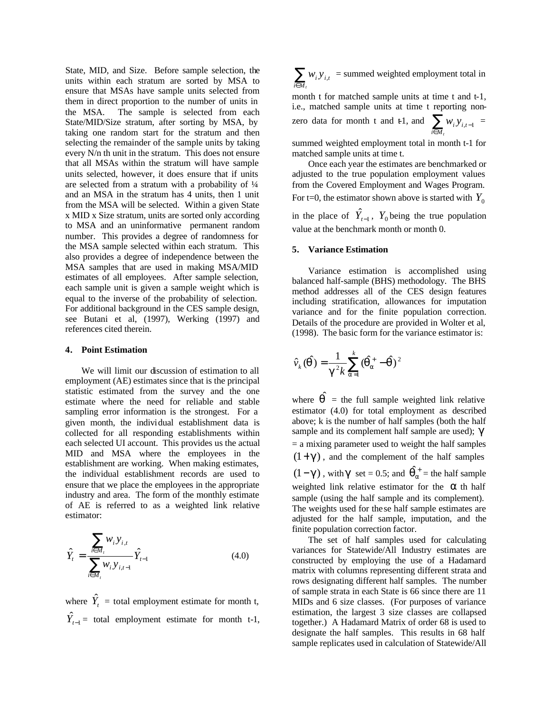State, MID, and Size. Before sample selection, the units within each stratum are sorted by MSA to ensure that MSAs have sample units selected from them in direct proportion to the number of units in the MSA. The sample is selected from each State/MID/Size stratum, after sorting by MSA, by taking one random start for the stratum and then selecting the remainder of the sample units by taking every N/n th unit in the stratum. This does not ensure that all MSAs within the stratum will have sample units selected, however, it does ensure that if units are selected from a stratum with a probability of  $\frac{1}{4}$ and an MSA in the stratum has 4 units, then 1 unit from the MSA will be selected. Within a given State x MID x Size stratum, units are sorted only according to MSA and an uninformative permanent random number. This provides a degree of randomness for the MSA sample selected within each stratum. This also provides a degree of independence between the MSA samples that are used in making MSA/MID estimates of all employees. After sample selection, each sample unit is given a sample weight which is equal to the inverse of the probability of selection. For additional background in the CES sample design, see Butani et al, (1997), Werking (1997) and references cited therein.

#### **4. Point Estimation**

We will limit our discussion of estimation to all employment (AE) estimates since that is the principal statistic estimated from the survey and the one estimate where the need for reliable and stable sampling error information is the strongest. For a given month, the individual establishment data is collected for all responding establishments within each selected UI account. This provides us the actual MID and MSA where the employees in the establishment are working. When making estimates, the individual establishment records are used to ensure that we place the employees in the appropriate industry and area. The form of the monthly estimate of AE is referred to as a weighted link relative estimator:

$$
\hat{Y}_t = \frac{\sum_{i \in M_t} w_i y_{i,t}}{\sum_{i \in M_t} w_i y_{i,t-1}} \hat{Y}_{t-1}
$$
\n(4.0)

where  $\hat{Y}_t$  = total employment estimate for month t,  $\hat{Y}_{t-1}$  = total employment estimate for month t-1, ∑∈*M<sup>t</sup> i*  $w_i y_{i,t}$  = summed weighted employment total in

month t for matched sample units at time t and t-1, i.e., matched sample units at time t reporting nonzero data for month t and  $\sum_{i \in M}$ −  $i \in M_t$  $W_i Y_{i,t-1} =$ 

summed weighted employment total in month t-1 for matched sample units at time t.

Once each year the estimates are benchmarked or adjusted to the true population employment values from the Covered Employment and Wages Program. For t=0, the estimator shown above is started with  $Y_0$ 

in the place of  $\hat{Y}_{t-1}$ ,  $Y_0$  being the true population value at the benchmark month or month 0.

#### **5. Variance Estimation**

Variance estimation is accomplished using balanced half-sample (BHS) methodology. The BHS method addresses all of the CES design features including stratification, allowances for imputation variance and for the finite population correction. Details of the procedure are provided in Wolter et al, (1998). The basic form for the variance estimator is:

$$
\hat{v}_k(\hat{q}) = \frac{1}{g^2 k} \sum_{a=1}^k (\hat{q}_a^+ - \hat{q})^2
$$

where  $\hat{\mathbf{q}}$  = the full sample weighted link relative estimator (4.0) for total employment as described above; k is the number of half samples (both the half sample and its complement half sample are used); *g*  $=$  a mixing parameter used to weight the half samples  $(1+g)$ , and the complement of the half samples  $(1-g)$ , with *g* set = 0.5; and  $\hat{q}_a^+$  = the half sample weighted link relative estimator for the *a* th half sample (using the half sample and its complement). The weights used for these half sample estimates are adjusted for the half sample, imputation, and the finite population correction factor.

The set of half samples used for calculating variances for Statewide/All Industry estimates are constructed by employing the use of a Hadamard matrix with columns representing different strata and rows designating different half samples. The number of sample strata in each State is 66 since there are 11 MIDs and 6 size classes. (For purposes of variance estimation, the largest 3 size classes are collapsed together.) A Hadamard Matrix of order 68 is used to designate the half samples. This results in 68 half sample replicates used in calculation of Statewide/All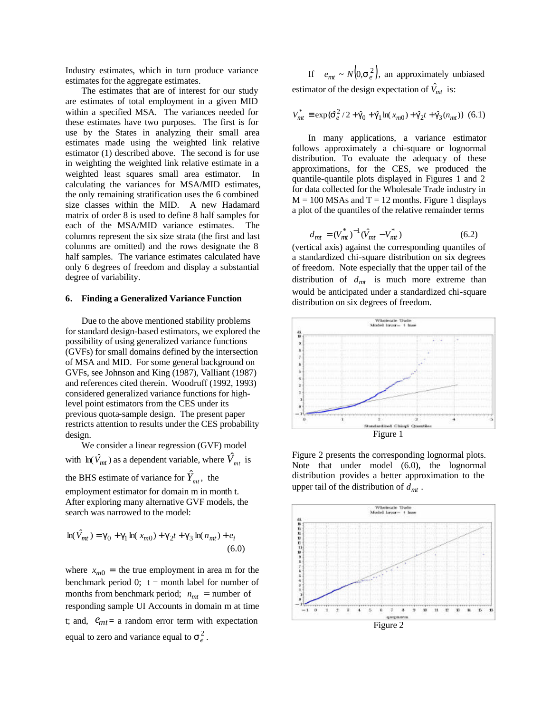Industry estimates, which in turn produce variance estimates for the aggregate estimates.

The estimates that are of interest for our study are estimates of total employment in a given MID within a specified MSA. The variances needed for these estimates have two purposes. The first is for use by the States in analyzing their small area estimates made using the weighted link relative estimator (1) described above. The second is for use in weighting the weighted link relative estimate in a weighted least squares small area estimator. In calculating the variances for MSA/MID estimates, the only remaining stratification uses the 6 combined size classes within the MID. A new Hadamard matrix of order 8 is used to define 8 half samples for each of the MSA/MID variance estimates. The columns represent the six size strata (the first and last colunms are omitted) and the rows designate the 8 half samples. The variance estimates calculated have only 6 degrees of freedom and display a substantial degree of variability.

#### **6. Finding a Generalized Variance Function**

Due to the above mentioned stability problems for standard design-based estimators, we explored the possibility of using generalized variance functions (GVFs) for small domains defined by the intersection of MSA and MID. For some general background on GVFs, see Johnson and King (1987), Valliant (1987) and references cited therein. Woodruff (1992, 1993) considered generalized variance functions for highlevel point estimators from the CES under its previous quota-sample design. The present paper restricts attention to results under the CES probability design.

We consider a linear regression (GVF) model with  $\ln(\hat{V}_{mt})$  as a dependent variable, where  $\hat{V}_{mt}$  is the BHS estimate of variance for  $\hat{Y}_{mt}$ , the

employment estimator for domain m in month t. After exploring many alternative GVF models, the search was narrowed to the model:

$$
\ln(\hat{V}_{mt}) = \mathbf{g}_0 + \mathbf{g}_1 \ln(x_{m0}) + \mathbf{g}_2 t + \mathbf{g}_3 \ln(n_{mt}) + e_i
$$
\n(6.0)

where  $x_{m0}$  = the true employment in area m for the benchmark period 0;  $t =$  month label for number of months from benchmark period;  $n_{mt}$  = number of responding sample UI Accounts in domain m at time t; and,  $e_{mt}$  = a random error term with expectation equal to zero and variance equal to  $s_e^2$ .

If  $e_{mt} \sim N(0, s_e^2)$ , an approximately unbiased estimator of the design expectation of  $\hat{V}_{mt}$  is:

$$
V_{mt}^{*} \equiv \exp\{\hat{\boldsymbol{s}}_{e}^{2}/2 + \hat{\boldsymbol{g}}_{0} + \hat{\boldsymbol{g}}_{1}\ln(x_{m0}) + \hat{\boldsymbol{g}}_{2}t + \hat{\boldsymbol{g}}_{3}(n_{mt})\} (6.1)
$$

In many applications, a variance estimator follows approximately a chi-square or lognormal distribution. To evaluate the adequacy of these approximations, for the CES, we produced the quantile-quantile plots displayed in Figures 1 and 2 for data collected for the Wholesale Trade industry in  $M = 100$  MSAs and T = 12 months. Figure 1 displays a plot of the quantiles of the relative remainder terms

$$
d_{mt} = (V_{mt}^*)^{-1}(\hat{V}_{mt} - V_{mt}^*)
$$
 (6.2)

(vertical axis) against the corresponding quantiles of a standardized chi-square distribution on six degrees of freedom. Note especially that the upper tail of the distribution of *dmt* is much more extreme than would be anticipated under a standardized chi-square distribution on six degrees of freedom.



Figure 2 presents the corresponding lognormal plots. Note that under model (6.0), the lognormal distribution provides a better approximation to the upper tail of the distribution of *dmt* .

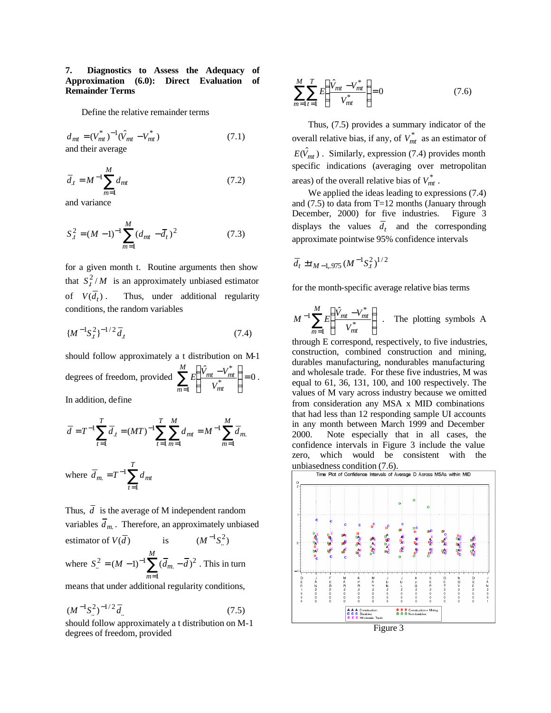## **7. Diagnostics to Assess the Adequacy of Approximation (6.0): Direct Evaluation of Remainder Terms**

Define the relative remainder terms

$$
d_{mt} = (V_{mt}^*)^{-1}(\hat{V}_{mt} - V_{mt}^*)
$$
\n
$$
and their average
$$
\n(7.1)

 $=M^{-1}\sum_{m=1}^{N}$ *M m*  $\overline{d}_t = M^{-1} \sum d_{nt}$ 1 (7.2)

and variance

$$
S_t^2 = (M - 1)^{-1} \sum_{m=1}^{M} (d_{mt} - \overline{d}_t)^2
$$
 (7.3)

for a given month t. Routine arguments then show that  $S_i^2/M$  is an approximately unbiased estimator of  $V(\overline{d}_t)$ . . Thus, under additional regularity conditions, the random variables

$$
\{M^{-1}S_t^2\}^{-1/2}\overline{d}_t\tag{7.4}
$$

should follow approximately a t distribution on M-1 degrees of freedom, provided  $\sum E \frac{v_{mt}}{v_{mt}} = 0$ ˆ 1 \* \*  $\vert$  $\overline{\phantom{a}}$  $\big)$  $\left( \right)$ I I l  $\sum_{m=1}^{M} E\left(\frac{\hat{V}_{mt} -}{V_{m}^*}\right)$  $m=1$   $\binom{V_{mt}}{V_{mt}}$ *mt mt V*  $E\left[\frac{\dot{V}_{mt} - V_{mt}^*}{\epsilon}\right] = 0$ . In addition, define

$$
\overline{d} = T^{-1} \sum_{t=1}^{T} \overline{d}_{t} = (MT)^{-1} \sum_{t=1}^{T} \sum_{m=1}^{M} d_{mt} = M^{-1} \sum_{m=1}^{M} \overline{d}_{m}.
$$

where 
$$
\overline{d}_{m} = T^{-1} \sum_{t=1}^{T} d_{mt}
$$

Thus,  $\overline{d}$  is the average of M independent random variables *dm*. . Therefore, an approximately unbiased estimator of  $V(\overline{d})$  is  $(M^{-1}S^2)$ where  $S_{\cdot \cdot}^2 = (M - 1)^{-1} \sum_{m=1}^{\infty} (\overline{d}_m -$ *M m*  $S_{n}^{2} = (M-1)^{-1} \sum_{m} (d_{m} - d_{m})$ 1  $L_{\infty}^{2} = (M-1)^{-1} \sum (\bar{d}_{m} - \bar{d})^{2}$ . This in turn

means that under additional regularity conditions,

$$
(M^{-1}S_{..}^2)^{-1/2}\overline{d}_{..} \tag{7.5}
$$

should follow approximately a t distribution on M-1 degrees of freedom, provided

$$
\sum_{m=1}^{M} \sum_{t=1}^{T} E\left(\frac{\hat{V}_{mt} - V_{mt}^*}{V_{mt}^*}\right) = 0
$$
\n(7.6)

Thus, (7.5) provides a summary indicator of the overall relative bias, if any, of  $V_{mt}^{*}$  as an estimator of  $E(\hat{V}_{mt})$ . Similarly, expression (7.4) provides month specific indications (averaging over metropolitan areas) of the overall relative bias of  $V_{mt}^*$ .

We applied the ideas leading to expressions (7.4) and (7.5) to data from T=12 months (January through December, 2000) for five industries. Figure 3 displays the values  $d_t$  and the corresponding approximate pointwise 95% confidence intervals

$$
\overline{d}_t \pm t_{M-1,975} \, (M^{-1} S_t^2)^{1/2}
$$

for the month-specific average relative bias terms

$$
M^{-1} \sum_{m=1}^{M} E \left( \frac{\hat{V}_{mt} - V_{mt}^*}{V_{mt}^*} \right) \ .
$$
 The plotting symbols A

through E correspond, respectively, to five industries, construction, combined construction and mining, durables manufacturing, nondurables manufacturing and wholesale trade. For these five industries, M was equal to 61, 36, 131, 100, and 100 respectively. The values of M vary across industry because we omitted from consideration any MSA x MID combinations that had less than 12 responding sample UI accounts in any month between March 1999 and December 2000. Note especially that in all cases, the confidence intervals in Figure 3 include the value zero, which would be consistent with the

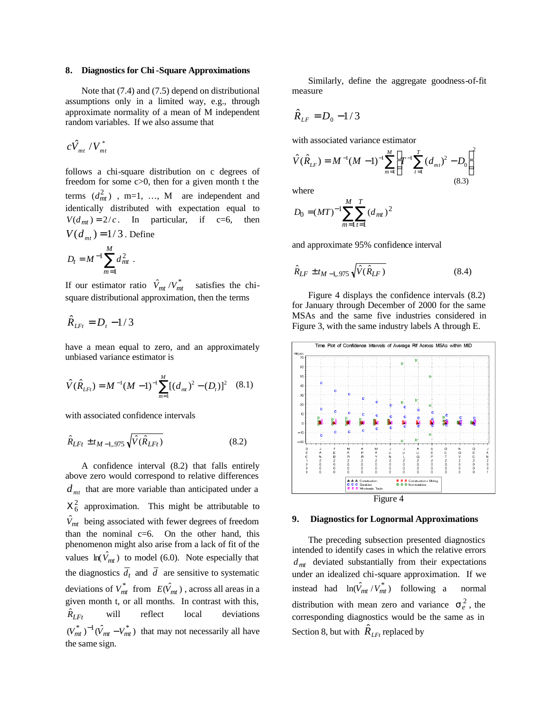#### **8. Diagnostics for Chi-Square Approximations**

Note that (7.4) and (7.5) depend on distributional assumptions only in a limited way, e.g., through approximate normality of a mean of M independent random variables. If we also assume that

$$
c\hat{V}_{_{mt}}/V_{_{mt}}^{*}
$$

follows a chi-square distribution on c degrees of freedom for some c>0, then for a given month t the terms  $(d_{mt}^2)$ , m=1, ..., M are independent and identically distributed with expectation equal to  $V(d_{mt}) = 2/c$ . In particular, if c=6, then  $V(d_{mt}) = 1/3$ . Define

$$
D_t = M^{-1} \sum_{m=1}^{M} d_{mt}^2 .
$$

If our estimator ratio  $\hat{V}_{mt}/V_{mt}^*$ <sup>ˆ</sup>*Vmt <sup>V</sup>mt* satisfies the chisquare distributional approximation, then the terms

$$
\hat{R}_{\text{LF}t}=D_t-1/3
$$

have a mean equal to zero, and an approximately unbiased variance estimator is

$$
\hat{V}(\hat{R}_{LF}) = M^{-1}(M-1)^{-1} \sum_{m=1}^{M} [(d_{mt})^{2} - (D_{t})]^{2} \quad (8.1)
$$

with associated confidence intervals

$$
\hat{R}_{LFt} \pm t_{M-1,975} \sqrt{\hat{V}(\hat{R}_{LFt})}
$$
\n(8.2)

A confidence interval (8.2) that falls entirely above zero would correspond to relative differences  $d_{mt}$  that are more variable than anticipated under a  $X_6^2$  approximation. This might be attributable to  $\hat{V}_{mt}$  being associated with fewer degrees of freedom than the nominal  $c=6$ . On the other hand, this phenomenon might also arise from a lack of fit of the values  $ln(\hat{V}_{mt})$  to model (6.0). Note especially that the diagnostics  $d_t$  and  $d$  are sensitive to systematic deviations of  $V_{mt}^*$  from  $E(\hat{V}_{mt})$ , across all areas in a given month t, or all months. In contrast with this,  $\hat{R}_{L F t}$ will reflect local deviations  $(V_{mt}^*)^{-1}(\hat{V}_{mt} - V_{mt}^*)$  that may not necessarily all have the same sign.

Similarly, define the aggregate goodness-of-fit measure

$$
\hat{R}_{LF} = D_0 - 1/3
$$

with associated variance estimator

$$
\hat{V}(\hat{R}_{LF}) = M^{-1}(M-1)^{-1} \sum_{m=1}^{M} \left[ T^{-1} \sum_{t=1}^{T} (d_{mt})^2 - D_0 \right]^2
$$
\n(8.3)

where

$$
D_0 = (MT)^{-1} \sum_{m=1}^{M} \sum_{t=1}^{T} (d_{mt})^2
$$

and approximate 95% confidence interval

$$
\hat{R}_{LF} \pm t_{M-1,975} \sqrt{\hat{V}(\hat{R}_{LF})}
$$
\n(8.4)

Figure 4 displays the confidence intervals (8.2) for January through December of 2000 for the same MSAs and the same five industries considered in Figure 3, with the same industry labels A through E.



## **9. Diagnostics for Lognormal Approximations**

The preceding subsection presented diagnostics intended to identify cases in which the relative errors  $d_{mt}$  deviated substantially from their expectations under an idealized chi-square approximation. If we instead had  $ln(\hat{V}_{mt}/V_{mt}^*)$  following a normal distribution with mean zero and variance  $s_e^2$ , the corresponding diagnostics would be the same as in Section 8, but with  $\hat{R}_{L_{Ft}}$  replaced by